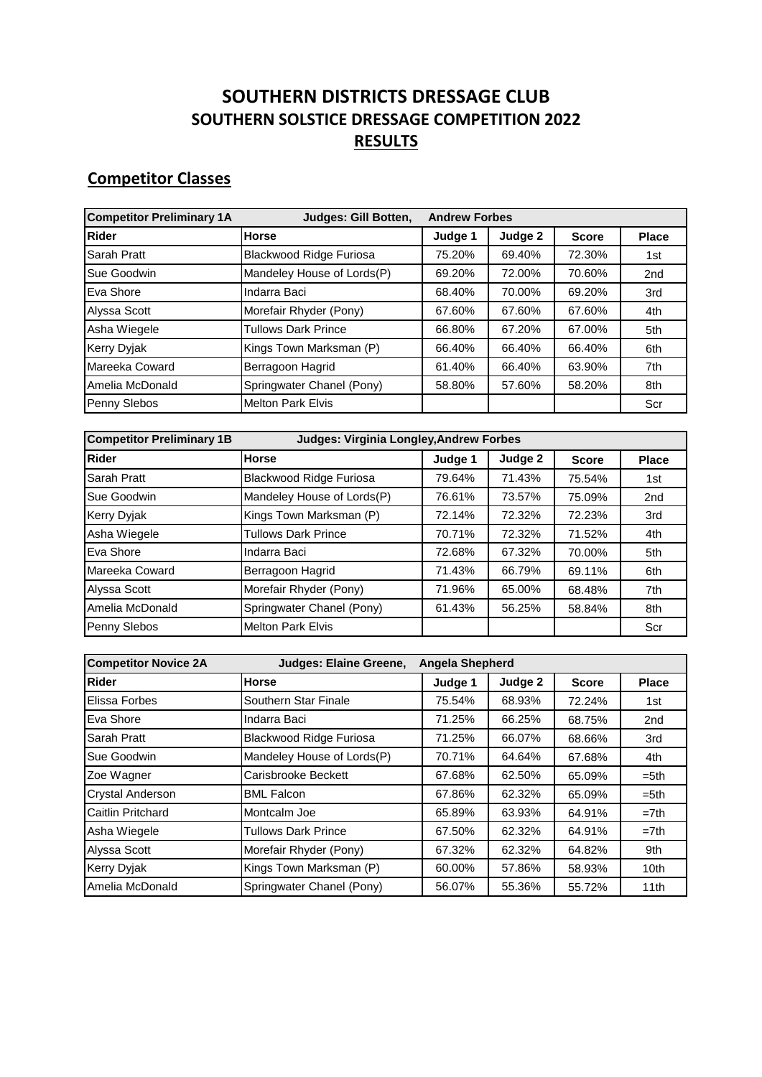## **SOUTHERN DISTRICTS DRESSAGE CLUB SOUTHERN SOLSTICE DRESSAGE COMPETITION 2022 RESULTS**

## **Competitor Classes**

| <b>Competitor Preliminary 1A</b> | Judges: Gill Botten,           | <b>Andrew Forbes</b> |         |              |              |
|----------------------------------|--------------------------------|----------------------|---------|--------------|--------------|
| <b>Rider</b>                     | <b>Horse</b>                   | Judge 1              | Judge 2 | <b>Score</b> | <b>Place</b> |
| Sarah Pratt                      | <b>Blackwood Ridge Furiosa</b> | 75.20%               | 69.40%  | 72.30%       | 1st          |
| Sue Goodwin                      | Mandeley House of Lords(P)     | 69.20%               | 72.00%  | 70.60%       | 2nd          |
| Eva Shore                        | Indarra Baci                   | 68.40%               | 70.00%  | 69.20%       | 3rd          |
| Alyssa Scott                     | Morefair Rhyder (Pony)         | 67.60%               | 67.60%  | 67.60%       | 4th          |
| Asha Wiegele                     | <b>Tullows Dark Prince</b>     | 66.80%               | 67.20%  | 67.00%       | 5th          |
| <b>Kerry Dyjak</b>               | Kings Town Marksman (P)        | 66.40%               | 66.40%  | 66.40%       | 6th          |
| Mareeka Coward                   | Berragoon Hagrid               | 61.40%               | 66.40%  | 63.90%       | 7th          |
| Amelia McDonald                  | Springwater Chanel (Pony)      | 58.80%               | 57.60%  | 58.20%       | 8th          |
| Penny Slebos                     | <b>Melton Park Elvis</b>       |                      |         |              | Scr          |

| <b>Competitor Preliminary 1B</b> | <b>Judges: Virginia Longley, Andrew Forbes</b> |         |         |              |                 |  |  |
|----------------------------------|------------------------------------------------|---------|---------|--------------|-----------------|--|--|
| <b>Rider</b>                     | <b>Horse</b>                                   | Judge 1 | Judge 2 | <b>Score</b> | <b>Place</b>    |  |  |
| Sarah Pratt                      | <b>Blackwood Ridge Furiosa</b>                 | 79.64%  | 71.43%  | 75.54%       | 1st             |  |  |
| Sue Goodwin                      | Mandeley House of Lords(P)                     | 76.61%  | 73.57%  | 75.09%       | 2 <sub>nd</sub> |  |  |
| <b>Kerry Dyjak</b>               | Kings Town Marksman (P)                        | 72.14%  | 72.32%  | 72.23%       | 3rd             |  |  |
| Asha Wiegele                     | <b>Tullows Dark Prince</b>                     | 70.71%  | 72.32%  | 71.52%       | 4th             |  |  |
| Eva Shore                        | Indarra Baci                                   | 72.68%  | 67.32%  | 70.00%       | 5th             |  |  |
| Mareeka Coward                   | Berragoon Hagrid                               | 71.43%  | 66.79%  | 69.11%       | 6th             |  |  |
| Alyssa Scott                     | Morefair Rhyder (Pony)                         | 71.96%  | 65.00%  | 68.48%       | 7th             |  |  |
| Amelia McDonald                  | Springwater Chanel (Pony)                      | 61.43%  | 56.25%  | 58.84%       | 8th             |  |  |
| Penny Slebos                     | <b>Melton Park Elvis</b>                       |         |         |              | Scr             |  |  |

| <b>Competitor Novice 2A</b> | Judges: Elaine Greene,         | <b>Angela Shepherd</b> |         |              |                  |  |
|-----------------------------|--------------------------------|------------------------|---------|--------------|------------------|--|
| Rider                       | <b>Horse</b>                   | Judge 1                | Judge 2 | <b>Score</b> | <b>Place</b>     |  |
| Elissa Forbes               | Southern Star Finale           | 75.54%                 | 68.93%  | 72.24%       | 1st              |  |
| Eva Shore                   | Indarra Baci                   | 71.25%                 | 66.25%  | 68.75%       | 2nd              |  |
| Sarah Pratt                 | <b>Blackwood Ridge Furiosa</b> | 71.25%                 | 66.07%  | 68.66%       | 3rd              |  |
| Sue Goodwin                 | Mandeley House of Lords(P)     | 70.71%                 | 64.64%  | 67.68%       | 4th              |  |
| Zoe Wagner                  | Carisbrooke Beckett            | 67.68%                 | 62.50%  | 65.09%       | $= 5th$          |  |
| Crystal Anderson            | <b>BML Falcon</b>              | 67.86%                 | 62.32%  | 65.09%       | $= 5th$          |  |
| Caitlin Pritchard           | Montcalm Joe                   | 65.89%                 | 63.93%  | 64.91%       | $=7th$           |  |
| Asha Wiegele                | Tullows Dark Prince            | 67.50%                 | 62.32%  | 64.91%       | $=7th$           |  |
| Alyssa Scott                | Morefair Rhyder (Pony)         | 67.32%                 | 62.32%  | 64.82%       | 9th              |  |
| Kerry Dyjak                 | Kings Town Marksman (P)        | 60.00%                 | 57.86%  | 58.93%       | 10 <sub>th</sub> |  |
| Amelia McDonald             | Springwater Chanel (Pony)      | 56.07%                 | 55.36%  | 55.72%       | 11th             |  |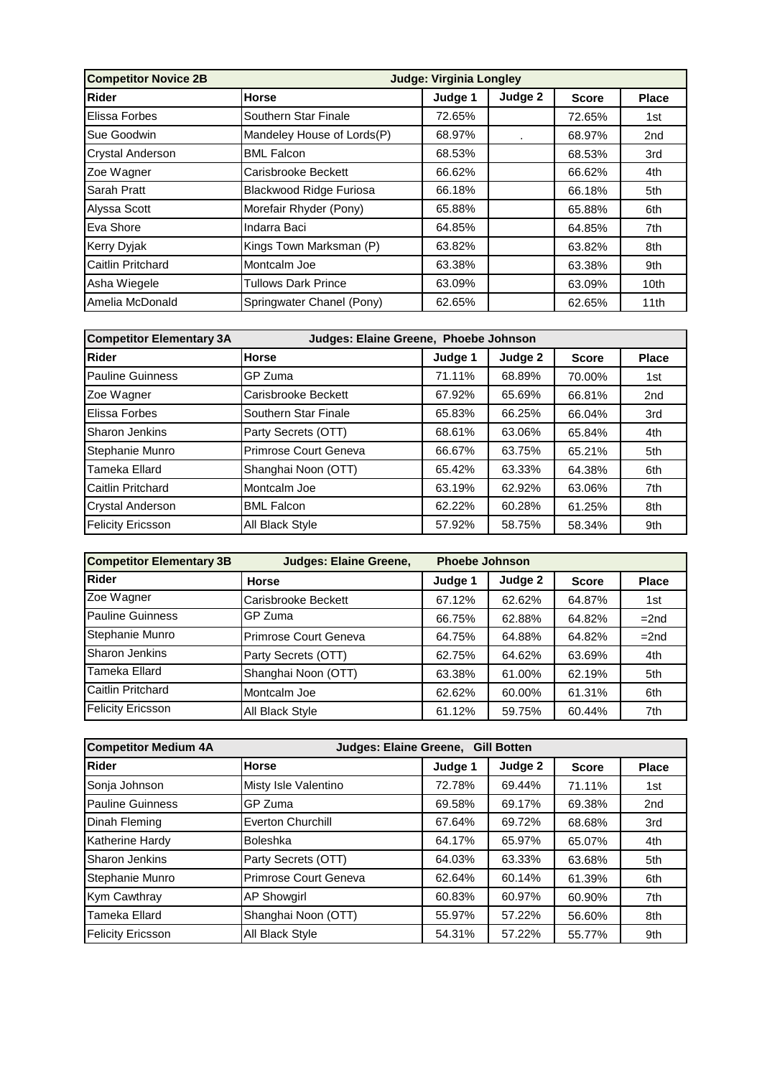| <b>Competitor Novice 2B</b> | <b>Judge: Virginia Longley</b> |         |         |              |                  |  |
|-----------------------------|--------------------------------|---------|---------|--------------|------------------|--|
| <b>Rider</b>                | Horse                          | Judge 1 | Judge 2 | <b>Score</b> | <b>Place</b>     |  |
| <b>Elissa Forbes</b>        | Southern Star Finale           | 72.65%  |         | 72.65%       | 1st              |  |
| Sue Goodwin                 | Mandeley House of Lords(P)     | 68.97%  |         | 68.97%       | 2 <sub>nd</sub>  |  |
| <b>Crystal Anderson</b>     | <b>BML Falcon</b>              | 68.53%  |         | 68.53%       | 3rd              |  |
| Zoe Wagner                  | Carisbrooke Beckett            | 66.62%  |         | 66.62%       | 4th              |  |
| Sarah Pratt                 | <b>Blackwood Ridge Furiosa</b> | 66.18%  |         | 66.18%       | 5th              |  |
| Alyssa Scott                | Morefair Rhyder (Pony)         | 65.88%  |         | 65.88%       | 6th              |  |
| Eva Shore                   | Indarra Baci                   | 64.85%  |         | 64.85%       | 7th              |  |
| <b>Kerry Dyjak</b>          | Kings Town Marksman (P)        | 63.82%  |         | 63.82%       | 8th              |  |
| Caitlin Pritchard           | Montcalm Joe                   | 63.38%  |         | 63.38%       | 9th              |  |
| Asha Wiegele                | <b>Tullows Dark Prince</b>     | 63.09%  |         | 63.09%       | 10 <sub>th</sub> |  |
| Amelia McDonald             | Springwater Chanel (Pony)      | 62.65%  |         | 62.65%       | 11th             |  |

| <b>Competitor Elementary 3A</b><br>Judges: Elaine Greene, Phoebe Johnson |                        |         |         |              |              |  |
|--------------------------------------------------------------------------|------------------------|---------|---------|--------------|--------------|--|
| <b>Rider</b>                                                             | <b>Horse</b>           | Judge 1 | Judge 2 | <b>Score</b> | <b>Place</b> |  |
| Pauline Guinness                                                         | GP Zuma                | 71.11%  | 68.89%  | 70.00%       | 1st          |  |
| Zoe Wagner                                                               | Carisbrooke Beckett    | 67.92%  | 65.69%  | 66.81%       | 2nd          |  |
| Elissa Forbes                                                            | Southern Star Finale   | 65.83%  | 66.25%  | 66.04%       | 3rd          |  |
| <b>Sharon Jenkins</b>                                                    | Party Secrets (OTT)    | 68.61%  | 63.06%  | 65.84%       | 4th          |  |
| Stephanie Munro                                                          | Primrose Court Geneva  | 66.67%  | 63.75%  | 65.21%       | 5th          |  |
| Tameka Ellard                                                            | Shanghai Noon (OTT)    | 65.42%  | 63.33%  | 64.38%       | 6th          |  |
| Caitlin Pritchard                                                        | Montcalm Joe           | 63.19%  | 62.92%  | 63.06%       | 7th          |  |
| <b>Crystal Anderson</b>                                                  | <b>BML Falcon</b>      | 62.22%  | 60.28%  | 61.25%       | 8th          |  |
| <b>Felicity Ericsson</b>                                                 | <b>All Black Style</b> | 57.92%  | 58.75%  | 58.34%       | 9th          |  |

| <b>Competitor Elementary 3B</b> | <b>Judges: Elaine Greene,</b> | <b>Phoebe Johnson</b> |         |              |              |
|---------------------------------|-------------------------------|-----------------------|---------|--------------|--------------|
| <b>Rider</b>                    | <b>Horse</b>                  | Judge 1               | Judge 2 | <b>Score</b> | <b>Place</b> |
| Zoe Wagner                      | Carisbrooke Beckett           | 67.12%                | 62.62%  | 64.87%       | 1st          |
| <b>Pauline Guinness</b>         | GP Zuma                       | 66.75%                | 62.88%  | 64.82%       | $=2nd$       |
| Stephanie Munro                 | Primrose Court Geneva         | 64.75%                | 64.88%  | 64.82%       | $=2nd$       |
| Sharon Jenkins                  | Party Secrets (OTT)           | 62.75%                | 64.62%  | 63.69%       | 4th          |
| Tameka Ellard                   | Shanghai Noon (OTT)           | 63.38%                | 61.00%  | 62.19%       | 5th          |
| Caitlin Pritchard               | Montcalm Joe                  | 62.62%                | 60.00%  | 61.31%       | 6th          |
| <b>Felicity Ericsson</b>        | All Black Style               | 61.12%                | 59.75%  | 60.44%       | 7th          |

| <b>Competitor Medium 4A</b> | Judges: Elaine Greene, Gill Botten |         |         |              |                 |  |
|-----------------------------|------------------------------------|---------|---------|--------------|-----------------|--|
| Rider                       | <b>Horse</b>                       | Judge 1 | Judge 2 | <b>Score</b> | <b>Place</b>    |  |
| Sonja Johnson               | Misty Isle Valentino               | 72.78%  | 69.44%  | 71.11%       | 1st             |  |
| Pauline Guinness            | GP Zuma                            | 69.58%  | 69.17%  | 69.38%       | 2 <sub>nd</sub> |  |
| Dinah Fleming               | Everton Churchill                  | 67.64%  | 69.72%  | 68.68%       | 3rd             |  |
| Katherine Hardy             | <b>Boleshka</b>                    | 64.17%  | 65.97%  | 65.07%       | 4th             |  |
| Sharon Jenkins              | Party Secrets (OTT)                | 64.03%  | 63.33%  | 63.68%       | 5th             |  |
| Stephanie Munro             | Primrose Court Geneva              | 62.64%  | 60.14%  | 61.39%       | 6th             |  |
| <b>Kym Cawthray</b>         | <b>AP Showgirl</b>                 | 60.83%  | 60.97%  | 60.90%       | 7th             |  |
| Tameka Ellard               | Shanghai Noon (OTT)                | 55.97%  | 57.22%  | 56.60%       | 8th             |  |
| <b>Felicity Ericsson</b>    | <b>All Black Style</b>             | 54.31%  | 57.22%  | 55.77%       | 9th             |  |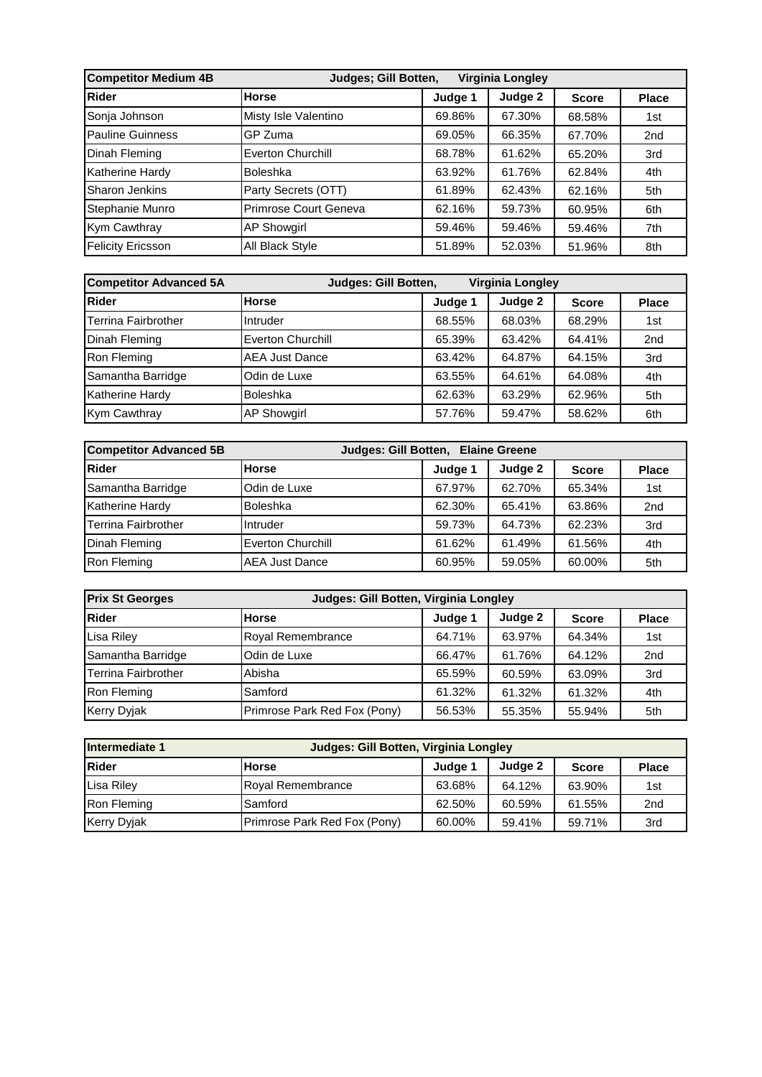| <b>Competitor Medium 4B</b> | Judges; Gill Botten,<br>Virginia Longley |         |         |              |              |  |  |
|-----------------------------|------------------------------------------|---------|---------|--------------|--------------|--|--|
| <b>Rider</b>                | <b>Horse</b>                             | Judge 1 | Judge 2 | <b>Score</b> | <b>Place</b> |  |  |
| Sonja Johnson               | Misty Isle Valentino                     | 69.86%  | 67.30%  | 68.58%       | 1st          |  |  |
| <b>Pauline Guinness</b>     | GP Zuma                                  | 69.05%  | 66.35%  | 67.70%       | 2nd          |  |  |
| Dinah Fleming               | Everton Churchill                        | 68.78%  | 61.62%  | 65.20%       | 3rd          |  |  |
| Katherine Hardy             | <b>Boleshka</b>                          | 63.92%  | 61.76%  | 62.84%       | 4th          |  |  |
| Sharon Jenkins              | Party Secrets (OTT)                      | 61.89%  | 62.43%  | 62.16%       | 5th          |  |  |
| Stephanie Munro             | Primrose Court Geneva                    | 62.16%  | 59.73%  | 60.95%       | 6th          |  |  |
| <b>Kym Cawthray</b>         | <b>AP Showgirl</b>                       | 59.46%  | 59.46%  | 59.46%       | 7th          |  |  |
| <b>Felicity Ericsson</b>    | All Black Style                          | 51.89%  | 52.03%  | 51.96%       | 8th          |  |  |

| <b>Competitor Advanced 5A</b> | Judges: Gill Botten,<br><b>Virginia Longley</b> |         |         |              |                 |  |  |
|-------------------------------|-------------------------------------------------|---------|---------|--------------|-----------------|--|--|
| <b>Rider</b>                  | <b>Horse</b>                                    | Judge 1 | Judge 2 | <b>Score</b> | <b>Place</b>    |  |  |
| <b>Terrina Fairbrother</b>    | Intruder                                        | 68.55%  | 68.03%  | 68.29%       | 1st             |  |  |
| Dinah Fleming                 | Everton Churchill                               | 65.39%  | 63.42%  | 64.41%       | 2 <sub>nd</sub> |  |  |
| Ron Fleming                   | <b>AEA Just Dance</b>                           | 63.42%  | 64.87%  | 64.15%       | 3rd             |  |  |
| Samantha Barridge             | Odin de Luxe                                    | 63.55%  | 64.61%  | 64.08%       | 4th             |  |  |
| <b>Katherine Hardy</b>        | <b>Boleshka</b>                                 | 62.63%  | 63.29%  | 62.96%       | 5th             |  |  |
| Kym Cawthray                  | <b>AP Showgirl</b>                              | 57.76%  | 59.47%  | 58.62%       | 6th             |  |  |

| <b>Competitor Advanced 5B</b> | Judges: Gill Botten, Elaine Greene |         |         |              |                 |  |
|-------------------------------|------------------------------------|---------|---------|--------------|-----------------|--|
| Rider                         | <b>Horse</b>                       | Judge 1 | Judge 2 | <b>Score</b> | <b>Place</b>    |  |
| Samantha Barridge             | Odin de Luxe                       | 67.97%  | 62.70%  | 65.34%       | 1st             |  |
| <b>Katherine Hardy</b>        | Boleshka                           | 62.30%  | 65.41%  | 63.86%       | 2 <sub>nd</sub> |  |
| <b>Terrina Fairbrother</b>    | Intruder                           | 59.73%  | 64.73%  | 62.23%       | 3rd             |  |
| Dinah Fleming                 | Everton Churchill                  | 61.62%  | 61.49%  | 61.56%       | 4th             |  |
| Ron Fleming                   | <b>AEA Just Dance</b>              | 60.95%  | 59.05%  | 60.00%       | 5th             |  |

| <b>Prix St Georges</b> | Judges: Gill Botten, Virginia Longley |         |         |              |                 |  |  |
|------------------------|---------------------------------------|---------|---------|--------------|-----------------|--|--|
| Rider                  | <b>Horse</b>                          | Judge 1 | Judge 2 | <b>Score</b> | <b>Place</b>    |  |  |
| Lisa Riley             | <b>Royal Remembrance</b>              | 64.71%  | 63.97%  | 64.34%       | 1st             |  |  |
| Samantha Barridge      | Odin de Luxe                          | 66.47%  | 61.76%  | 64.12%       | 2 <sub>nd</sub> |  |  |
| Terrina Fairbrother    | Abisha                                | 65.59%  | 60.59%  | 63.09%       | 3rd             |  |  |
| Ron Fleming            | Samford                               | 61.32%  | 61.32%  | 61.32%       | 4th             |  |  |
| Kerry Dyjak            | Primrose Park Red Fox (Pony)          | 56.53%  | 55.35%  | 55.94%       | 5th             |  |  |

| Intermediate 1     | Judges: Gill Botten, Virginia Longley |         |         |              |                 |  |  |
|--------------------|---------------------------------------|---------|---------|--------------|-----------------|--|--|
| Rider              | <b>Horse</b>                          | Judge 1 | Judge 2 | <b>Score</b> | <b>Place</b>    |  |  |
| Lisa Riley         | Royal Remembrance                     | 63.68%  | 64.12%  | 63.90%       | 1st             |  |  |
| Ron Fleming        | Samford                               | 62.50%  | 60.59%  | 61.55%       | 2 <sub>nd</sub> |  |  |
| <b>Kerry Dyjak</b> | Primrose Park Red Fox (Pony)          | 60.00%  | 59.41%  | 59.71%       | 3rd             |  |  |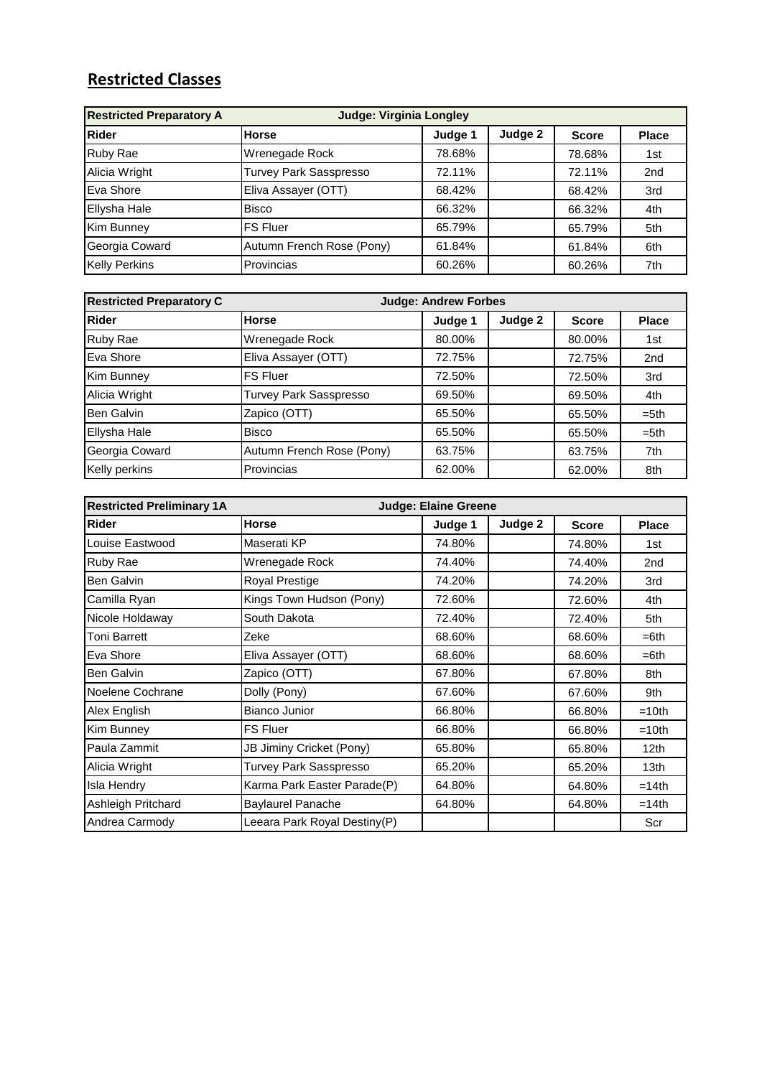## **Restricted Classes**

| <b>Restricted Preparatory A</b><br><b>Judge: Virginia Longley</b> |                               |         |         |              |                 |  |
|-------------------------------------------------------------------|-------------------------------|---------|---------|--------------|-----------------|--|
| <b>Rider</b>                                                      | <b>Horse</b>                  | Judge 1 | Judge 2 | <b>Score</b> | <b>Place</b>    |  |
| Ruby Rae                                                          | Wrenegade Rock                | 78.68%  |         | 78.68%       | 1st             |  |
| Alicia Wright                                                     | <b>Turvey Park Sasspresso</b> | 72.11%  |         | 72.11%       | 2 <sub>nd</sub> |  |
| Eva Shore                                                         | Eliva Assayer (OTT)           | 68.42%  |         | 68.42%       | 3rd             |  |
| <b>Ellysha Hale</b>                                               | <b>Bisco</b>                  | 66.32%  |         | 66.32%       | 4th             |  |
| Kim Bunney                                                        | <b>FS Fluer</b>               | 65.79%  |         | 65.79%       | 5th             |  |
| Georgia Coward                                                    | Autumn French Rose (Pony)     | 61.84%  |         | 61.84%       | 6th             |  |
| <b>Kelly Perkins</b>                                              | Provincias                    | 60.26%  |         | 60.26%       | 7th             |  |

| <b>Restricted Preparatory C</b> | <b>Judge: Andrew Forbes</b> |         |         |              |                 |
|---------------------------------|-----------------------------|---------|---------|--------------|-----------------|
| Rider                           | <b>Horse</b>                | Judge 1 | Judge 2 | <b>Score</b> | <b>Place</b>    |
| Ruby Rae                        | Wrenegade Rock              | 80.00%  |         | 80.00%       | 1st             |
| Eva Shore                       | Eliva Assayer (OTT)         | 72.75%  |         | 72.75%       | 2 <sub>nd</sub> |
| Kim Bunney                      | <b>FS Fluer</b>             | 72.50%  |         | 72.50%       | 3rd             |
| Alicia Wright                   | Turvey Park Sasspresso      | 69.50%  |         | 69.50%       | 4th             |
| Ben Galvin                      | Zapico (OTT)                | 65.50%  |         | 65.50%       | $= 5th$         |
| Ellysha Hale                    | <b>Bisco</b>                | 65.50%  |         | 65.50%       | $= 5th$         |
| Georgia Coward                  | Autumn French Rose (Pony)   | 63.75%  |         | 63.75%       | 7th             |
| Kelly perkins                   | Provincias                  | 62.00%  |         | 62.00%       | 8th             |

| <b>Restricted Preliminary 1A</b> | <b>Judge: Elaine Greene</b>  |         |         |              |                  |
|----------------------------------|------------------------------|---------|---------|--------------|------------------|
| <b>Rider</b>                     | <b>Horse</b>                 | Judge 1 | Judge 2 | <b>Score</b> | <b>Place</b>     |
| Louise Eastwood                  | Maserati KP                  | 74.80%  |         | 74.80%       | 1st              |
| Ruby Rae                         | Wrenegade Rock               | 74.40%  |         | 74.40%       | 2nd              |
| Ben Galvin                       | Royal Prestige               | 74.20%  |         | 74.20%       | 3rd              |
| Camilla Ryan                     | Kings Town Hudson (Pony)     | 72.60%  |         | 72.60%       | 4th              |
| Nicole Holdaway                  | South Dakota                 | 72.40%  |         | 72.40%       | 5th              |
| Toni Barrett                     | Zeke                         | 68.60%  |         | 68.60%       | $=6th$           |
| Eva Shore                        | Eliva Assayer (OTT)          | 68.60%  |         | 68.60%       | $=6th$           |
| <b>Ben Galvin</b>                | Zapico (OTT)                 | 67.80%  |         | 67.80%       | 8th              |
| Noelene Cochrane                 | Dolly (Pony)                 | 67.60%  |         | 67.60%       | 9th              |
| Alex English                     | <b>Bianco Junior</b>         | 66.80%  |         | 66.80%       | $=10th$          |
| Kim Bunney                       | <b>FS Fluer</b>              | 66.80%  |         | 66.80%       | $=10th$          |
| Paula Zammit                     | JB Jiminy Cricket (Pony)     | 65.80%  |         | 65.80%       | 12 <sub>th</sub> |
| Alicia Wright                    | Turvey Park Sasspresso       | 65.20%  |         | 65.20%       | 13 <sub>th</sub> |
| Isla Hendry                      | Karma Park Easter Parade(P)  | 64.80%  |         | 64.80%       | $=14th$          |
| Ashleigh Pritchard               | <b>Baylaurel Panache</b>     | 64.80%  |         | 64.80%       | $=14th$          |
| Andrea Carmody                   | Leeara Park Royal Destiny(P) |         |         |              | Scr              |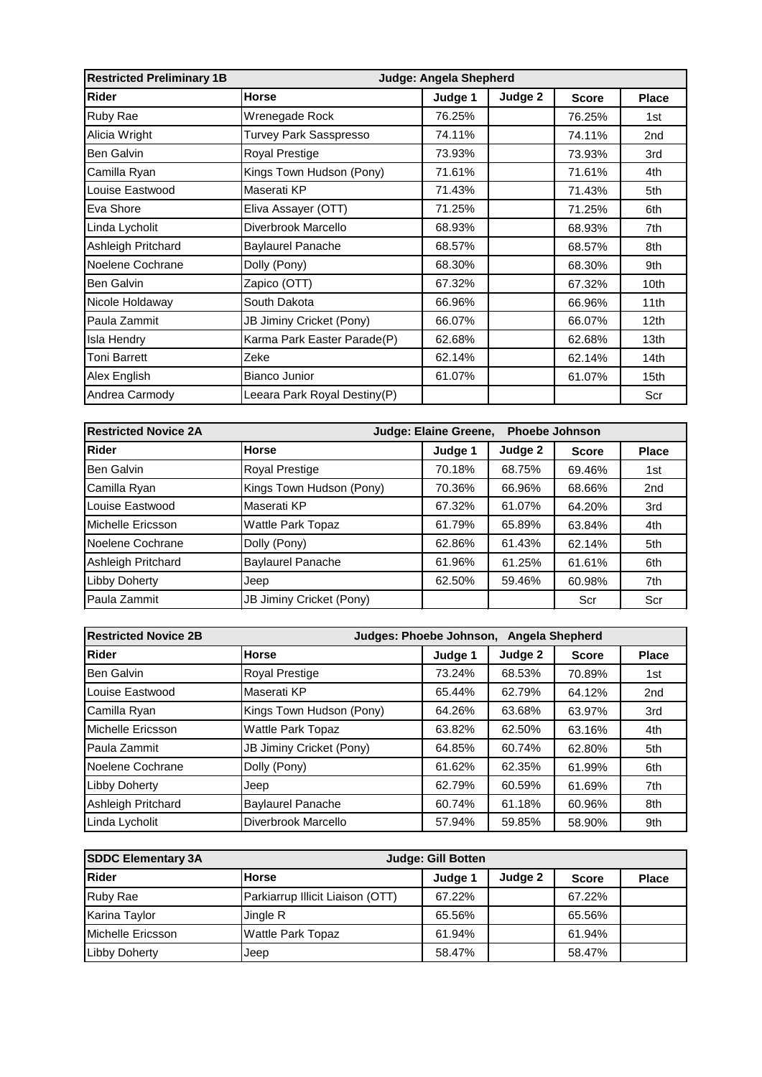| <b>Restricted Preliminary 1B</b> | Judge: Angela Shepherd       |         |         |              |                  |
|----------------------------------|------------------------------|---------|---------|--------------|------------------|
| Rider                            | <b>Horse</b>                 | Judge 1 | Judge 2 | <b>Score</b> | <b>Place</b>     |
| Ruby Rae                         | Wrenegade Rock               | 76.25%  |         | 76.25%       | 1st              |
| Alicia Wright                    | Turvey Park Sasspresso       | 74.11%  |         | 74.11%       | 2 <sub>nd</sub>  |
| Ben Galvin                       | Royal Prestige               | 73.93%  |         | 73.93%       | 3rd              |
| Camilla Ryan                     | Kings Town Hudson (Pony)     | 71.61%  |         | 71.61%       | 4th              |
| Louise Eastwood                  | Maserati KP                  | 71.43%  |         | 71.43%       | 5th              |
| Eva Shore                        | Eliva Assayer (OTT)          | 71.25%  |         | 71.25%       | 6th              |
| Linda Lycholit                   | Diverbrook Marcello          | 68.93%  |         | 68.93%       | 7th              |
| Ashleigh Pritchard               | <b>Baylaurel Panache</b>     | 68.57%  |         | 68.57%       | 8th              |
| Noelene Cochrane                 | Dolly (Pony)                 | 68.30%  |         | 68.30%       | 9th              |
| <b>Ben Galvin</b>                | Zapico (OTT)                 | 67.32%  |         | 67.32%       | 10 <sub>th</sub> |
| Nicole Holdaway                  | South Dakota                 | 66.96%  |         | 66.96%       | 11th             |
| Paula Zammit                     | JB Jiminy Cricket (Pony)     | 66.07%  |         | 66.07%       | 12 <sub>th</sub> |
| Isla Hendry                      | Karma Park Easter Parade(P)  | 62.68%  |         | 62.68%       | 13 <sub>th</sub> |
| Toni Barrett                     | Zeke                         | 62.14%  |         | 62.14%       | 14th             |
| Alex English                     | <b>Bianco Junior</b>         | 61.07%  |         | 61.07%       | 15th             |
| Andrea Carmody                   | Leeara Park Royal Destiny(P) |         |         |              | Scr              |

| <b>Restricted Novice 2A</b> | Judge: Elaine Greene,<br><b>Phoebe Johnson</b> |         |         |              |                 |
|-----------------------------|------------------------------------------------|---------|---------|--------------|-----------------|
| <b>Rider</b>                | <b>Horse</b>                                   | Judge 1 | Judge 2 | <b>Score</b> | <b>Place</b>    |
| Ben Galvin                  | Royal Prestige                                 | 70.18%  | 68.75%  | 69.46%       | 1st             |
| Camilla Ryan                | Kings Town Hudson (Pony)                       | 70.36%  | 66.96%  | 68.66%       | 2 <sub>nd</sub> |
| Louise Eastwood             | Maserati KP                                    | 67.32%  | 61.07%  | 64.20%       | 3rd             |
| Michelle Ericsson           | <b>Wattle Park Topaz</b>                       | 61.79%  | 65.89%  | 63.84%       | 4th             |
| Noelene Cochrane            | Dolly (Pony)                                   | 62.86%  | 61.43%  | 62.14%       | 5th             |
| Ashleigh Pritchard          | <b>Baylaurel Panache</b>                       | 61.96%  | 61.25%  | 61.61%       | 6th             |
| <b>Libby Doherty</b>        | Jeep                                           | 62.50%  | 59.46%  | 60.98%       | 7th             |
| Paula Zammit                | JB Jiminy Cricket (Pony)                       |         |         | Scr          | Scr             |

| <b>Restricted Novice 2B</b> | Judges: Phoebe Johnson, Angela Shepherd |         |         |              |                 |  |
|-----------------------------|-----------------------------------------|---------|---------|--------------|-----------------|--|
| <b>Rider</b>                | <b>Horse</b>                            | Judge 1 | Judge 2 | <b>Score</b> | <b>Place</b>    |  |
| Ben Galvin                  | Royal Prestige                          | 73.24%  | 68.53%  | 70.89%       | 1st             |  |
| Louise Eastwood             | Maserati KP                             | 65.44%  | 62.79%  | 64.12%       | 2 <sub>nd</sub> |  |
| Camilla Ryan                | Kings Town Hudson (Pony)                | 64.26%  | 63.68%  | 63.97%       | 3rd             |  |
| Michelle Ericsson           | <b>Wattle Park Topaz</b>                | 63.82%  | 62.50%  | 63.16%       | 4th             |  |
| Paula Zammit                | JB Jiminy Cricket (Pony)                | 64.85%  | 60.74%  | 62.80%       | 5th             |  |
| Noelene Cochrane            | Dolly (Pony)                            | 61.62%  | 62.35%  | 61.99%       | 6th             |  |
| <b>Libby Doherty</b>        | Jeep                                    | 62.79%  | 60.59%  | 61.69%       | 7th             |  |
| Ashleigh Pritchard          | <b>Baylaurel Panache</b>                | 60.74%  | 61.18%  | 60.96%       | 8th             |  |
| Linda Lycholit              | Diverbrook Marcello                     | 57.94%  | 59.85%  | 58.90%       | 9th             |  |

| <b>SDDC Elementary 3A</b> | Judge: Gill Botten               |         |         |              |              |
|---------------------------|----------------------------------|---------|---------|--------------|--------------|
| Rider                     | <b>Horse</b>                     | Judge 1 | Judge 2 | <b>Score</b> | <b>Place</b> |
| <b>Ruby Rae</b>           | Parkiarrup Illicit Liaison (OTT) | 67.22%  |         | 67.22%       |              |
| Karina Taylor             | Jingle R                         | 65.56%  |         | 65.56%       |              |
| Michelle Ericsson         | <b>Wattle Park Topaz</b>         | 61.94%  |         | 61.94%       |              |
| Libby Doherty             | Jeep                             | 58.47%  |         | 58.47%       |              |